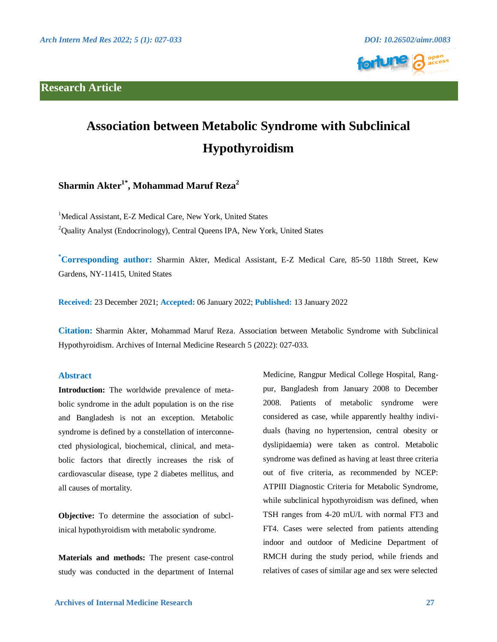**Research Article**





# **Association between Metabolic Syndrome with Subclinical Hypothyroidism**

**Sharmin Akter1\* , Mohammad Maruf Reza<sup>2</sup>**

<sup>1</sup>Medical Assistant, E-Z Medical Care, New York, United States <sup>2</sup>Quality Analyst (Endocrinology), Central Queens IPA, New York, United States

**\*Corresponding author:** Sharmin Akter, Medical Assistant, E-Z Medical Care, 85-50 118th Street, Kew Gardens, NY-11415, United States

**Received:** 23 December 2021; **Accepted:** 06 January 2022; **Published:** 13 January 2022

**Citation:** Sharmin Akter, Mohammad Maruf Reza. Association between Metabolic Syndrome with Subclinical Hypothyroidism. Archives of Internal Medicine Research 5 (2022): 027-033.

# **Abstract**

**Introduction:** The worldwide prevalence of metabolic syndrome in the adult population is on the rise and Bangladesh is not an exception. Metabolic syndrome is defined by a constellation of interconnected physiological, biochemical, clinical, and metabolic factors that directly increases the risk of cardiovascular disease, type 2 diabetes mellitus, and all causes of mortality.

**Objective:** To determine the association of subclinical hypothyroidism with metabolic syndrome.

**Materials and methods:** The present case-control study was conducted in the department of Internal Medicine, Rangpur Medical College Hospital, Rangpur, Bangladesh from January 2008 to December 2008. Patients of metabolic syndrome were considered as case, while apparently healthy individuals (having no hypertension, central obesity or dyslipidaemia) were taken as control. Metabolic syndrome was defined as having at least three criteria out of five criteria, as recommended by NCEP: ATPIII Diagnostic Criteria for Metabolic Syndrome, while subclinical hypothyroidism was defined, when TSH ranges from 4-20 mU/L with normal FT3 and FT4. Cases were selected from patients attending indoor and outdoor of Medicine Department of RMCH during the study period, while friends and relatives of cases of similar age and sex were selected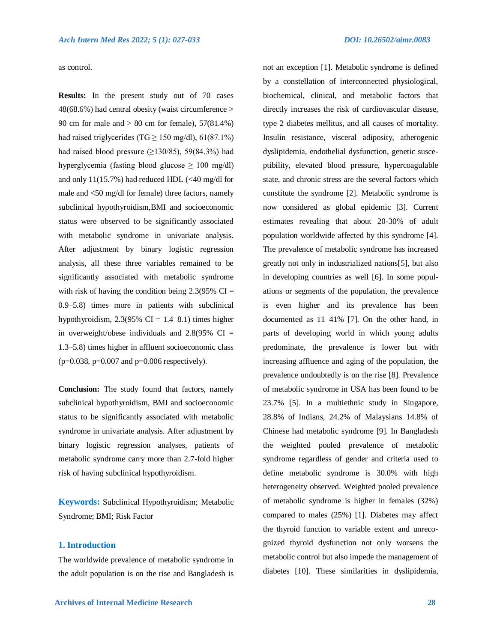as control.

**Results:** In the present study out of 70 cases 48(68.6%) had central obesity (waist circumference > 90 cm for male and > 80 cm for female), 57(81.4%) had raised triglycerides (TG  $\geq$  150 mg/dl), 61(87.1%) had raised blood pressure  $(\geq 130/85)$ , 59(84.3%) had hyperglycemia (fasting blood glucose  $\geq 100$  mg/dl) and only 11(15.7%) had reduced HDL (<40 mg/dl for male and <50 mg/dl for female) three factors, namely subclinical hypothyroidism,BMI and socioeconomic status were observed to be significantly associated with metabolic syndrome in univariate analysis. After adjustment by binary logistic regression analysis, all these three variables remained to be significantly associated with metabolic syndrome with risk of having the condition being  $2.3(95\% \text{ CI})$ 0.9–5.8) times more in patients with subclinical hypothyroidism,  $2.3(95\% \text{ CI} = 1.4-8.1)$  times higher in overweight/obese individuals and  $2.8(95\% \text{ CI})$ 1.3–5.8) times higher in affluent socioeconomic class  $(p=0.038, p=0.007, and p=0.006$  respectively).

**Conclusion:** The study found that factors, namely subclinical hypothyroidism, BMI and socioeconomic status to be significantly associated with metabolic syndrome in univariate analysis. After adjustment by binary logistic regression analyses, patients of metabolic syndrome carry more than 2.7-fold higher risk of having subclinical hypothyroidism.

**Keywords:** Subclinical Hypothyroidism; Metabolic Syndrome; BMI; Risk Factor

#### **1. Introduction**

The worldwide prevalence of metabolic syndrome in the adult population is on the rise and Bangladesh is

 **Archives of Internal Medicine Research 28**

not an exception [1]. Metabolic syndrome is defined by a constellation of interconnected physiological, biochemical, clinical, and metabolic factors that directly increases the risk of cardiovascular disease, type 2 diabetes mellitus, and all causes of mortality. Insulin resistance, visceral adiposity, atherogenic dyslipidemia, endothelial dysfunction, genetic susceptibility, elevated blood pressure, hypercoagulable state, and chronic stress are the several factors which constitute the syndrome [2]. Metabolic syndrome is now considered as global epidemic [3]. Current estimates revealing that about 20-30% of adult population worldwide affected by this syndrome [4]. The prevalence of metabolic syndrome has increased greatly not only in industrialized nations[5], but also in developing countries as well [6]. In some populations or segments of the population, the prevalence is even higher and its prevalence has been documented as 11–41% [7]. On the other hand, in parts of developing world in which young adults predominate, the prevalence is lower but with increasing affluence and aging of the population, the prevalence undoubtedly is on the rise [8]. Prevalence of metabolic syndrome in USA has been found to be 23.7% [5]. In a multiethnic study in Singapore, 28.8% of Indians, 24.2% of Malaysians 14.8% of Chinese had metabolic syndrome [9]. In Bangladesh the weighted pooled prevalence of metabolic syndrome regardless of gender and criteria used to define metabolic syndrome is 30.0% with high heterogeneity observed. Weighted pooled prevalence of metabolic syndrome is higher in females (32%) compared to males (25%) [1]. Diabetes may affect the thyroid function to variable extent and unrecognized thyroid dysfunction not only worsens the metabolic control but also impede the management of diabetes [10]. These similarities in dyslipidemia,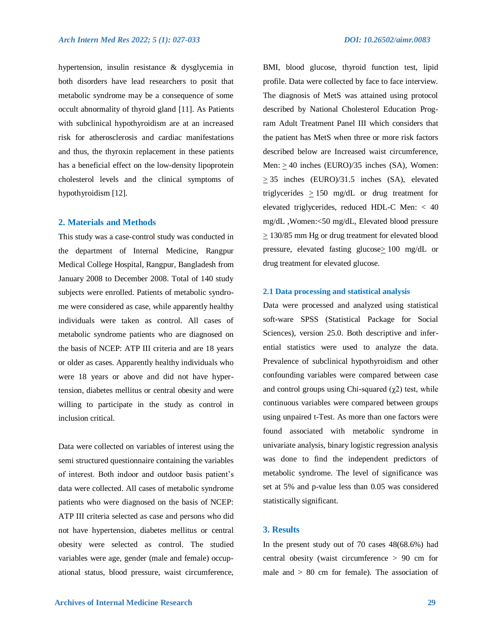hypertension, insulin resistance & dysglycemia in both disorders have lead researchers to posit that metabolic syndrome may be a consequence of some occult abnormality of thyroid gland [11]. As Patients with subclinical hypothyroidism are at an increased risk for atherosclerosis and cardiac manifestations and thus, the thyroxin replacement in these patients has a beneficial effect on the low-density lipoprotein cholesterol levels and the clinical symptoms of hypothyroidism [12].

### **2. Materials and Methods**

This study was a case-control study was conducted in the department of Internal Medicine, Rangpur Medical College Hospital, Rangpur, Bangladesh from January 2008 to December 2008. Total of 140 study subjects were enrolled. Patients of metabolic syndrome were considered as case, while apparently healthy individuals were taken as control. All cases of metabolic syndrome patients who are diagnosed on the basis of NCEP: ATP III criteria and are 18 years or older as cases. Apparently healthy individuals who were 18 years or above and did not have hypertension, diabetes mellitus or central obesity and were willing to participate in the study as control in inclusion critical.

Data were collected on variables of interest using the semi structured questionnaire containing the variables of interest. Both indoor and outdoor basis patient's data were collected. All cases of metabolic syndrome patients who were diagnosed on the basis of NCEP: ATP III criteria selected as case and persons who did not have hypertension, diabetes mellitus or central obesity were selected as control. The studied variables were age, gender (male and female) occupational status, blood pressure, waist circumference,

BMI, blood glucose, thyroid function test, lipid profile. Data were collected by face to face interview. The diagnosis of MetS was attained using protocol described by National Cholesterol Education Program Adult Treatment Panel III which considers that the patient has MetS when three or more risk factors described below are Increased waist circumference, Men:  $\geq$  40 inches (EURO)/35 inches (SA), Women:  $\geq$  35 inches (EURO)/31.5 inches (SA), elevated triglycerides  $> 150$  mg/dL or drug treatment for elevated triglycerides, reduced HDL-C Men: < 40 mg/dL ,Women:<50 mg/dL, Elevated blood pressure > 130/85 mm Hg or drug treatment for elevated blood pressure, elevated fasting glucose $\geq 100$  mg/dL or drug treatment for elevated glucose.

#### **2.1 Data processing and statistical analysis**

Data were processed and analyzed using statistical soft-ware SPSS (Statistical Package for Social Sciences), version 25.0. Both descriptive and inferential statistics were used to analyze the data. Prevalence of subclinical hypothyroidism and other confounding variables were compared between case and control groups using Chi-squared  $(\chi^2)$  test, while continuous variables were compared between groups using unpaired t-Test. As more than one factors were found associated with metabolic syndrome in univariate analysis, binary logistic regression analysis was done to find the independent predictors of metabolic syndrome. The level of significance was set at 5% and p-value less than 0.05 was considered statistically significant.

## **3. Results**

In the present study out of 70 cases 48(68.6%) had central obesity (waist circumference > 90 cm for male and  $> 80$  cm for female). The association of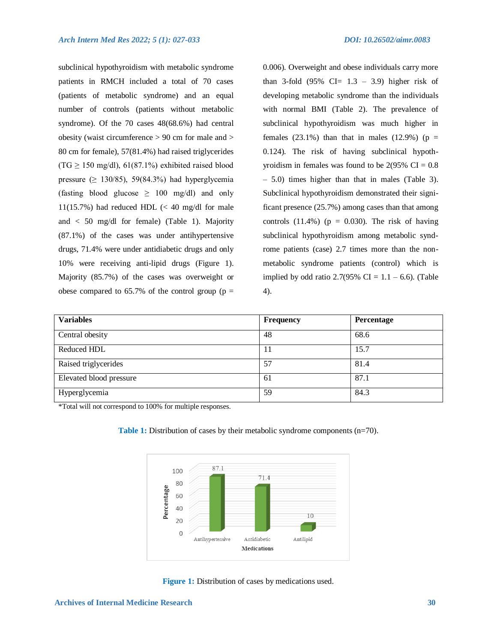subclinical hypothyroidism with metabolic syndrome patients in RMCH included a total of 70 cases (patients of metabolic syndrome) and an equal number of controls (patients without metabolic syndrome). Of the 70 cases 48(68.6%) had central obesity (waist circumference > 90 cm for male and > 80 cm for female), 57(81.4%) had raised triglycerides (TG  $\geq$  150 mg/dl), 61(87.1%) exhibited raised blood pressure ( $\geq$  130/85), 59(84.3%) had hyperglycemia (fasting blood glucose  $\geq$  100 mg/dl) and only 11(15.7%) had reduced HDL  $\ll$  40 mg/dl for male and < 50 mg/dl for female) (Table 1). Majority (87.1%) of the cases was under antihypertensive drugs, 71.4% were under antidiabetic drugs and only 10% were receiving anti-lipid drugs (Figure 1). Majority (85.7%) of the cases was overweight or obese compared to 65.7% of the control group ( $p =$ 

0.006). Overweight and obese individuals carry more than 3-fold  $(95\%$  CI= 1.3 – 3.9) higher risk of developing metabolic syndrome than the individuals with normal BMI (Table 2). The prevalence of subclinical hypothyroidism was much higher in females  $(23.1\%)$  than that in males  $(12.9\%)$  (p = 0.124). The risk of having subclinical hypothyroidism in females was found to be  $2(95\% \text{ CI} = 0.8)$ – 5.0) times higher than that in males (Table 3). Subclinical hypothyroidism demonstrated their significant presence (25.7%) among cases than that among controls  $(11.4\%)$  ( $p = 0.030$ ). The risk of having subclinical hypothyroidism among metabolic syndrome patients (case) 2.7 times more than the nonmetabolic syndrome patients (control) which is implied by odd ratio  $2.7(95\% \text{ CI} = 1.1 - 6.6)$ . (Table 4).

| <b>Variables</b>        | Frequency | Percentage |
|-------------------------|-----------|------------|
| Central obesity         | 48        | 68.6       |
| Reduced HDL             | 11        | 15.7       |
| Raised triglycerides    | 57        | 81.4       |
| Elevated blood pressure | 61        | 87.1       |
| Hyperglycemia           | 59        | 84.3       |

\*Total will not correspond to 100% for multiple responses.



**Table 1:** Distribution of cases by their metabolic syndrome components (n=70).

**Figure 1:** Distribution of cases by medications used.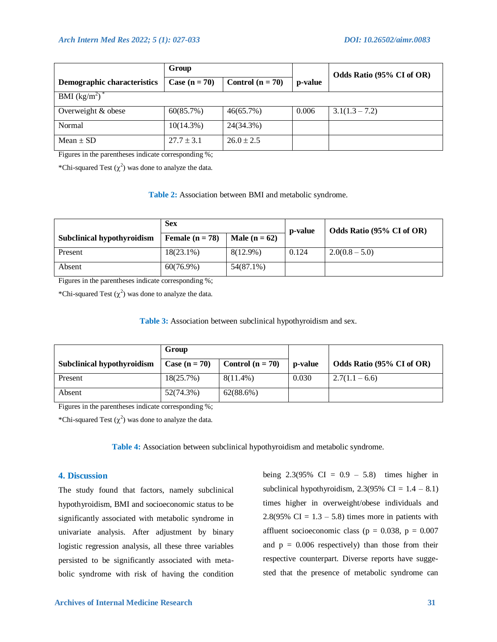|                                    | Group           |                    |         | Odds Ratio (95% CI of OR) |
|------------------------------------|-----------------|--------------------|---------|---------------------------|
| <b>Demographic characteristics</b> | Case $(n = 70)$ | Control $(n = 70)$ | p-value |                           |
| BMI $(kg/m^2)$                     |                 |                    |         |                           |
| Overweight & obese                 | 60(85.7%)       | 46(65.7%)          | 0.006   | $3.1(1.3 - 7.2)$          |
| Normal                             | $10(14.3\%)$    | 24(34.3%)          |         |                           |
| Mean $\pm$ SD                      | $27.7 \pm 3.1$  | $26.0 \pm 2.5$     |         |                           |

Figures in the parentheses indicate corresponding %;

\*Chi-squared Test  $(\chi^2)$  was done to analyze the data.

#### **Table 2:** Association between BMI and metabolic syndrome.

|                                   | <b>Sex</b>        |                 | <b>p</b> -value | Odds Ratio (95% CI of OR) |
|-----------------------------------|-------------------|-----------------|-----------------|---------------------------|
| <b>Subclinical hypothyroidism</b> | Female $(n = 78)$ | Male $(n = 62)$ |                 |                           |
| Present                           | $18(23.1\%)$      | 8(12.9%)        | 0.124           | $2.0(0.8-5.0)$            |
| Absent                            | $60(76.9\%)$      | 54(87.1%)       |                 |                           |

Figures in the parentheses indicate corresponding %;

\*Chi-squared Test  $(\chi^2)$  was done to analyze the data.

**Table 3:** Association between subclinical hypothyroidism and sex.

|                                   | Group           |                    |         |                           |
|-----------------------------------|-----------------|--------------------|---------|---------------------------|
| <b>Subclinical hypothyroidism</b> | Case $(n = 70)$ | Control $(n = 70)$ | p-value | Odds Ratio (95% CI of OR) |
| Present                           | $18(25.7\%)$    | $8(11.4\%)$        | 0.030   | $2.7(1.1-6.6)$            |
| Absent                            | 52(74.3%)       | 62(88.6%)          |         |                           |

Figures in the parentheses indicate corresponding %;

\*Chi-squared Test  $(\chi^2)$  was done to analyze the data.

**Table 4:** Association between subclinical hypothyroidism and metabolic syndrome.

# **4. Discussion**

The study found that factors, namely subclinical hypothyroidism, BMI and socioeconomic status to be significantly associated with metabolic syndrome in univariate analysis. After adjustment by binary logistic regression analysis, all these three variables persisted to be significantly associated with metabolic syndrome with risk of having the condition being  $2.3(95\% \text{ CI} = 0.9 - 5.8)$  times higher in subclinical hypothyroidism,  $2.3(95\% \text{ CI} = 1.4 - 8.1)$ times higher in overweight/obese individuals and 2.8(95% CI =  $1.3 - 5.8$ ) times more in patients with affluent socioeconomic class ( $p = 0.038$ ,  $p = 0.007$ and  $p = 0.006$  respectively) than those from their respective counterpart. Diverse reports have suggested that the presence of metabolic syndrome can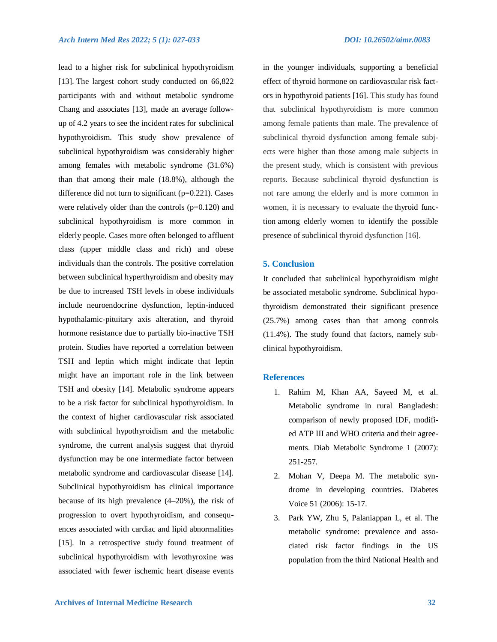lead to a higher risk for subclinical hypothyroidism [13]. The largest cohort study conducted on 66,822 participants with and without metabolic syndrome Chang and associates [13], made an average followup of 4.2 years to see the incident rates for subclinical hypothyroidism. This study show prevalence of subclinical hypothyroidism was considerably higher among females with metabolic syndrome (31.6%) than that among their male (18.8%), although the difference did not turn to significant (p=0.221). Cases were relatively older than the controls  $(p=0.120)$  and subclinical hypothyroidism is more common in elderly people. Cases more often belonged to affluent class (upper middle class and rich) and obese individuals than the controls. The positive correlation between subclinical hyperthyroidism and obesity may be due to increased TSH levels in obese individuals include neuroendocrine dysfunction, leptin-induced hypothalamic-pituitary axis alteration, and thyroid hormone resistance due to partially bio-inactive TSH protein. Studies have reported a correlation between TSH and leptin which might indicate that leptin might have an important role in the link between TSH and obesity [14]. Metabolic syndrome appears to be a risk factor for subclinical hypothyroidism. In the context of higher cardiovascular risk associated with subclinical hypothyroidism and the metabolic syndrome, the current analysis suggest that thyroid dysfunction may be one intermediate factor between metabolic syndrome and cardiovascular disease [14]. Subclinical hypothyroidism has clinical importance because of its high prevalence (4–20%), the risk of progression to overt hypothyroidism, and consequences associated with cardiac and lipid abnormalities [15]. In a retrospective study found treatment of subclinical hypothyroidism with levothyroxine was associated with fewer ischemic heart disease events

in the younger individuals, supporting a beneficial effect of thyroid hormone on cardiovascular risk factors in hypothyroid patients [16]. This study has found that subclinical hypothyroidism is more common among female patients than male. The prevalence of subclinical thyroid dysfunction among female subjects were higher than those among male subjects in the present study, which is consistent with previous reports. Because subclinical thyroid dysfunction is not rare among the elderly and is more common in women, it is necessary to evaluate the [thyroid func](https://www.sciencedirect.com/topics/medicine-and-dentistry/thyroid-function)[tion](https://www.sciencedirect.com/topics/medicine-and-dentistry/thyroid-function) among elderly women to identify the possible presence of subclinical thyroid dysfunction [16].

# **5. Conclusion**

It concluded that subclinical hypothyroidism might be associated metabolic syndrome. Subclinical hypothyroidism demonstrated their significant presence (25.7%) among cases than that among controls (11.4%). The study found that factors, namely subclinical hypothyroidism.

#### **References**

- 1. Rahim M, Khan AA, Sayeed M, et al. Metabolic syndrome in rural Bangladesh: comparison of newly proposed IDF, modified ATP III and WHO criteria and their agreements. Diab Metabolic Syndrome 1 (2007): 251-257.
- 2. Mohan V, Deepa M. The metabolic syndrome in developing countries. Diabetes Voice 51 (2006): 15-17.
- 3. Park YW, Zhu S, Palaniappan L, et al. The metabolic syndrome: prevalence and associated risk factor findings in the US population from the third National Health and